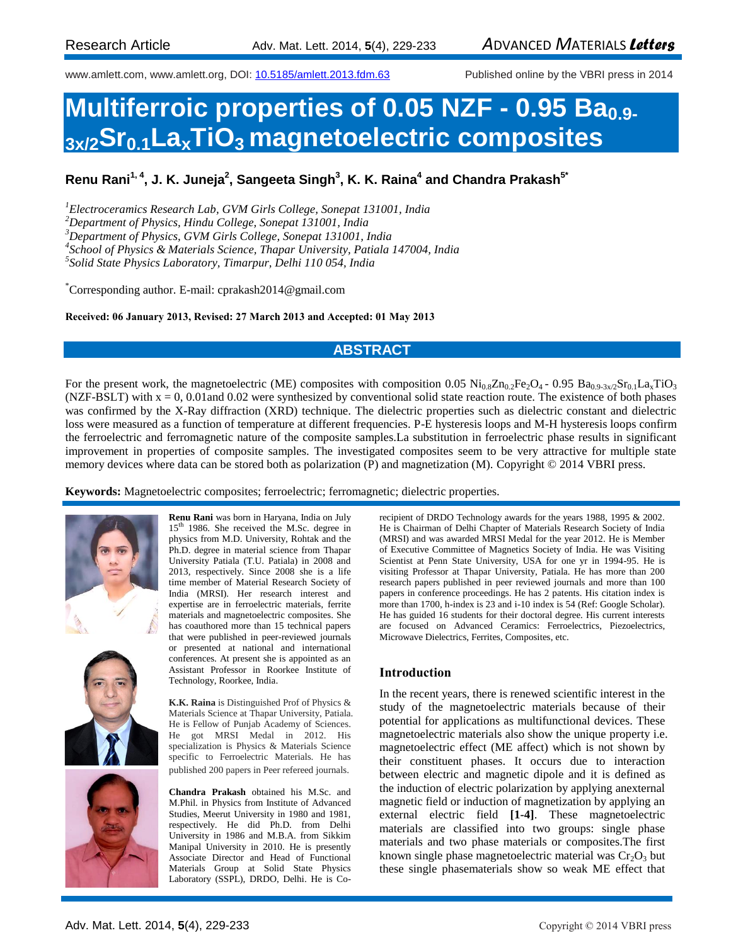www.amlett.com, www.amlett.org, DOI[: 10.5185/amlett.2013.fdm.63](http://dx.doi.org/10.5185/amlett.2013.fdm.63) Published online by the VBRI press in 2014

# **Multiferroic properties of 0.05 NZF - 0.95 Ba0.9- 3x/2Sr0.1LaxTiO3 magnetoelectric composites**

**Renu Rani1, 4, J. K. Juneja<sup>2</sup> , Sangeeta Singh<sup>3</sup> , K. K. Raina<sup>4</sup> and Chandra Prakash 5\***

*<sup>1</sup>Electroceramics Research Lab, GVM Girls College, Sonepat 131001, India*

*<sup>2</sup>Department of Physics, Hindu College, Sonepat 131001, India*

*<sup>3</sup>Department of Physics, GVM Girls College, Sonepat 131001, India*

*4 School of Physics & Materials Science, Thapar University, Patiala 147004, India*

*5 Solid State Physics Laboratory, Timarpur, Delhi 110 054, India*

\*Corresponding author. E-mail: cprakash2014@gmail.com

**Received: 06 January 2013, Revised: 27 March 2013 and Accepted: 01 May 2013**

### **ABSTRACT**

For the present work, the magnetoelectric (ME) composites with composition 0.05  $\text{Ni}_{0.8}\text{Zn}_{0.2}\text{Fe}_2\text{O}_4$  - 0.95  $\text{Ba}_{0.9\text{-}3x/2}\text{Sr}_{0.1}\text{La}_3\text{TiO}_3$ (NZF-BSLT) with  $x = 0$ , 0.01 and 0.02 were synthesized by conventional solid state reaction route. The existence of both phases was confirmed by the X-Ray diffraction (XRD) technique. The dielectric properties such as dielectric constant and dielectric loss were measured as a function of temperature at different frequencies. P-E hysteresis loops and M-H hysteresis loops confirm the ferroelectric and ferromagnetic nature of the composite samples.La substitution in ferroelectric phase results in significant improvement in properties of composite samples. The investigated composites seem to be very attractive for multiple state memory devices where data can be stored both as polarization (P) and magnetization (M). Copyright © 2014 VBRI press.

**Keywords:** Magnetoelectric composites; ferroelectric; ferromagnetic; dielectric properties.



**Renu Rani** was born in Haryana, India on July 15<sup>th</sup> 1986. She received the M.Sc. degree in physics from M.D. University, Rohtak and the Ph.D. degree in material science from Thapar University Patiala (T.U. Patiala) in 2008 and 2013, respectively. Since 2008 she is a life time member of Material Research Society of India (MRSI). Her research interest and expertise are in ferroelectric materials, ferrite materials and magnetoelectric composites. She has coauthored more than 15 technical papers that were published in peer-reviewed journals or presented at national and international conferences. At present she is appointed as an Assistant Professor in Roorkee Institute of Technology, Roorkee, India.





**K.K. Raina** is Distinguished Prof of Physics & Materials Science at Thapar University, Patiala. He is Fellow of Punjab Academy of Sciences. He got MRSI Medal in 2012. His specialization is Physics & Materials Science specific to Ferroelectric Materials. He has published 200 papers in Peer refereed journals.

**Chandra Prakash** obtained his M.Sc. and M.Phil. in Physics from Institute of Advanced Studies, Meerut University in 1980 and 1981, respectively. He did Ph.D. from Delhi University in 1986 and M.B.A. from Sikkim Manipal University in 2010. He is presently Associate Director and Head of Functional Materials Group at Solid State Physics Laboratory (SSPL), DRDO, Delhi. He is Corecipient of DRDO Technology awards for the years 1988, 1995 & 2002. He is Chairman of Delhi Chapter of Materials Research Society of India (MRSI) and was awarded MRSI Medal for the year 2012. He is Member of Executive Committee of Magnetics Society of India. He was Visiting Scientist at Penn State University, USA for one yr in 1994-95. He is visiting Professor at Thapar University, Patiala. He has more than 200 research papers published in peer reviewed journals and more than 100 papers in conference proceedings. He has 2 patents. His citation index is more than 1700, h-index is 23 and i-10 index is 54 (Ref: Google Scholar). He has guided 16 students for their doctoral degree. His current interests are focused on Advanced Ceramics: Ferroelectrics, Piezoelectrics, Microwave Dielectrics, Ferrites, Composites, etc.

### **Introduction**

In the recent years, there is renewed scientific interest in the study of the magnetoelectric materials because of their potential for applications as multifunctional devices. These magnetoelectric materials also show the unique property i.e. magnetoelectric effect (ME affect) which is not shown by their constituent phases. It occurs due to interaction between electric and magnetic dipole and it is defined as the induction of electric polarization by applying anexternal magnetic field or induction of magnetization by applying an external electric field **[1-4]**. These magnetoelectric materials are classified into two groups: single phase materials and two phase materials or composites.The first known single phase magnetoelectric material was  $Cr<sub>2</sub>O<sub>3</sub>$  but these single phasematerials show so weak ME effect that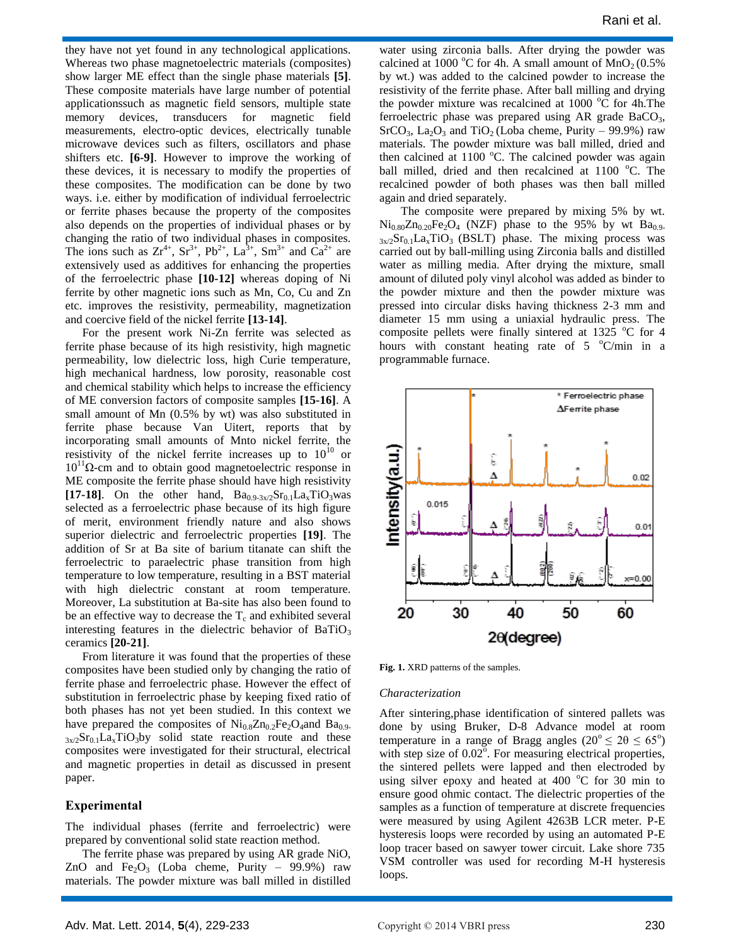they have not yet found in any technological applications. Whereas two phase magnetoelectric materials (composites) show larger ME effect than the single phase materials **[5]**. These composite materials have large number of potential applicationssuch as magnetic field sensors, multiple state memory devices, transducers for magnetic field measurements, electro-optic devices, electrically tunable microwave devices such as filters, oscillators and phase shifters etc. **[6-9]**. However to improve the working of these devices, it is necessary to modify the properties of these composites. The modification can be done by two ways. i.e. either by modification of individual ferroelectric or ferrite phases because the property of the composites also depends on the properties of individual phases or by changing the ratio of two individual phases in composites. The ions such as  $Zr^{4+}$ ,  $Sr^{3+}$ ,  $Pb^{2+}$ ,  $La^{3+}$ ,  $Sm^{3+}$  and  $Ca^{2+}$  are extensively used as additives for enhancing the properties of the ferroelectric phase **[10-12]** whereas doping of Ni ferrite by other magnetic ions such as Mn, Co, Cu and Zn etc. improves the resistivity, permeability, magnetization and coercive field of the nickel ferrite **[13-14]**.

For the present work Ni-Zn ferrite was selected as ferrite phase because of its high resistivity, high magnetic permeability, low dielectric loss, high Curie temperature, high mechanical hardness, low porosity, reasonable cost and chemical stability which helps to increase the efficiency of ME conversion factors of composite samples **[15-16]**. A small amount of Mn (0.5% by wt) was also substituted in ferrite phase because Van Uitert, reports that by incorporating small amounts of Mnto nickel ferrite, the resistivity of the nickel ferrite increases up to  $10^{10}$  or 10<sup>11</sup>Ω-cm and to obtain good magnetoelectric response in ME composite the ferrite phase should have high resistivity [17-18]. On the other hand,  $Ba_{0.9-3x/2}Sr_{0.1}La_xTiO_3was$ selected as a ferroelectric phase because of its high figure of merit, environment friendly nature and also shows superior dielectric and ferroelectric properties **[19]**. The addition of Sr at Ba site of barium titanate can shift the ferroelectric to paraelectric phase transition from high temperature to low temperature, resulting in a BST material with high dielectric constant at room temperature. Moreover, La substitution at Ba-site has also been found to be an effective way to decrease the  $T_c$  and exhibited several interesting features in the dielectric behavior of  $BaTiO<sub>3</sub>$ ceramics **[20-21]**.

From literature it was found that the properties of these composites have been studied only by changing the ratio of ferrite phase and ferroelectric phase. However the effect of substitution in ferroelectric phase by keeping fixed ratio of both phases has not yet been studied. In this context we have prepared the composites of  $\text{Ni}_{0.8}\text{Zn}_0$ , Fe<sub>2</sub>O<sub>4</sub>and Ba<sub>0.9-</sub>  $3x/2$ Sr<sub>0.1</sub>La<sub>x</sub>TiO<sub>3</sub>by solid state reaction route and these composites were investigated for their structural, electrical and magnetic properties in detail as discussed in present paper.

#### **Experimental**

The individual phases (ferrite and ferroelectric) were prepared by conventional solid state reaction method.

The ferrite phase was prepared by using AR grade NiO, ZnO and  $Fe<sub>2</sub>O<sub>3</sub>$  (Loba cheme, Purity – 99.9%) raw materials. The powder mixture was ball milled in distilled

water using zirconia balls. After drying the powder was calcined at 1000 °C for 4h. A small amount of  $MnO<sub>2</sub>(0.5%$ by wt.) was added to the calcined powder to increase the resistivity of the ferrite phase. After ball milling and drying the powder mixture was recalcined at  $1000 \degree C$  for 4h. The ferroelectric phase was prepared using AR grade  $BaCO<sub>3</sub>$ ,  $SrCO<sub>3</sub>$ ,  $La<sub>2</sub>O<sub>3</sub>$  and TiO<sub>2</sub> (Loba cheme, Purity – 99.9%) raw materials. The powder mixture was ball milled, dried and then calcined at  $1100$  °C. The calcined powder was again ball milled, dried and then recalcined at  $1100$  °C. The recalcined powder of both phases was then ball milled again and dried separately.

The composite were prepared by mixing 5% by wt.  $Ni<sub>0.80</sub>Zn<sub>0.20</sub>Fe<sub>2</sub>O<sub>4</sub>$  (NZF) phase to the 95% by wt Ba<sub>0.9-</sub>  $3x/2$ Sr<sub>0.1</sub>La<sub>x</sub>TiO<sub>3</sub> (BSLT) phase. The mixing process was carried out by ball-milling using Zirconia balls and distilled water as milling media. After drying the mixture, small amount of diluted poly vinyl alcohol was added as binder to the powder mixture and then the powder mixture was pressed into circular disks having thickness 2-3 mm and diameter 15 mm using a uniaxial hydraulic press. The composite pellets were finally sintered at 1325  $^{\circ}$ C for 4 hours with constant heating rate of  $5 \degree C/\text{min}$  in a programmable furnace.



**Fig. 1.** XRD patterns of the samples.

#### *Characterization*

After sintering,phase identification of sintered pallets was done by using Bruker, D-8 Advance model at room temperature in a range of Bragg angles ( $20^{\circ} \le 2\theta \le 65^{\circ}$ ) with step size of  $0.02^{\circ}$ . For measuring electrical properties, the sintered pellets were lapped and then electroded by using silver epoxy and heated at 400  $^{\circ}$ C for 30 min to ensure good ohmic contact. The dielectric properties of the samples as a function of temperature at discrete frequencies were measured by using Agilent 4263B LCR meter. P-E hysteresis loops were recorded by using an automated P-E loop tracer based on sawyer tower circuit. Lake shore 735 VSM controller was used for recording M-H hysteresis loops.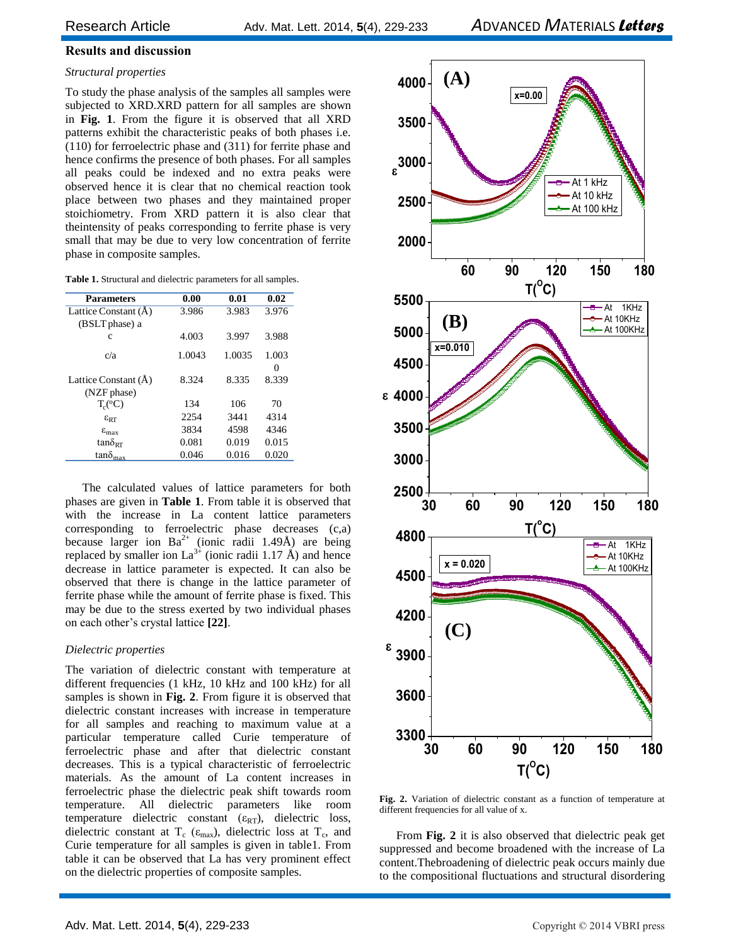### **Results and discussion**

### *Structural properties*

To study the phase analysis of the samples all samples were subjected to XRD.XRD pattern for all samples are shown in **Fig. 1**. From the figure it is observed that all XRD patterns exhibit the characteristic peaks of both phases i.e. (110) for ferroelectric phase and (311) for ferrite phase and hence confirms the presence of both phases. For all samples all peaks could be indexed and no extra peaks were observed hence it is clear that no chemical reaction took place between two phases and they maintained proper stoichiometry. From XRD pattern it is also clear that theintensity of peaks corresponding to ferrite phase is very small that may be due to very low concentration of ferrite phase in composite samples.

| <b>Parameters</b>          | 0.00   | 0.01   | 0.02     |
|----------------------------|--------|--------|----------|
| Lattice Constant (A)       | 3.986  | 3.983  | 3.976    |
| (BSLT phase) a             |        |        |          |
| c                          | 4.003  | 3.997  | 3.988    |
| c/a                        | 1.0043 | 1.0035 | 1.003    |
|                            |        |        | $\Omega$ |
| Lattice Constant (A)       | 8.324  | 8.335  | 8.339    |
| (NZF phase)                |        |        |          |
| $T_c({}^{\rm o}C)$         | 134    | 106    | 70       |
| $\epsilon_{\text{RT}}$     | 2254   | 3441   | 4314     |
| $\varepsilon_{\text{max}}$ | 3834   | 4598   | 4346     |
| $tan\delta_{RT}$           | 0.081  | 0.019  | 0.015    |
| $tan\delta_{\text{max}}$   | 0.046  | 0.016  | 0.020    |

The calculated values of lattice parameters for both phases are given in **Table 1**. From table it is observed that with the increase in La content lattice parameters corresponding to ferroelectric phase decreases (c,a) because larger ion  $Ba^{2+}$  (ionic radii 1.49Å) are being replaced by smaller ion  $La^{3+}$  (ionic radii 1.17 Å) and hence decrease in lattice parameter is expected. It can also be observed that there is change in the lattice parameter of ferrite phase while the amount of ferrite phase is fixed. This may be due to the stress exerted by two individual phases on each other's crystal lattice **[22]**.

### *Dielectric properties*

The variation of dielectric constant with temperature at different frequencies (1 kHz, 10 kHz and 100 kHz) for all samples is shown in **Fig. 2**. From figure it is observed that dielectric constant increases with increase in temperature for all samples and reaching to maximum value at a particular temperature called Curie temperature of ferroelectric phase and after that dielectric constant decreases. This is a typical characteristic of ferroelectric materials. As the amount of La content increases in ferroelectric phase the dielectric peak shift towards room temperature. All dielectric parameters like room temperature dielectric constant ( $\varepsilon_{RT}$ ), dielectric loss, dielectric constant at T<sub>c</sub> ( $\varepsilon_{\text{max}}$ ), dielectric loss at T<sub>c</sub>, and Curie temperature for all samples is given in table1. From table it can be observed that La has very prominent effect on the dielectric properties of composite samples.



**Fig. 2.** Variation of dielectric constant as a function of temperature at different frequencies for all value of x.

From **Fig. 2** it is also observed that dielectric peak get suppressed and become broadened with the increase of La content.Thebroadening of dielectric peak occurs mainly due to the compositional fluctuations and structural disordering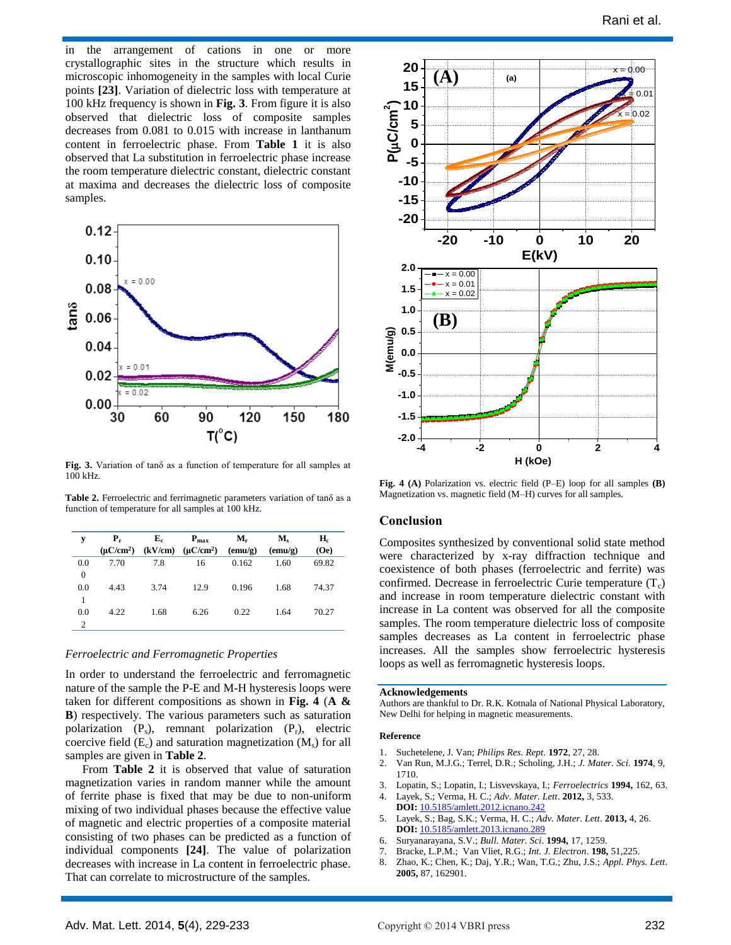in the arrangement of cations in one or more crystallographic sites in the structure which results in microscopic inhomogeneity in the samples with local Curie points **[23]**. Variation of dielectric loss with temperature at 100 kHz frequency is shown in **Fig. 3**. From figure it is also observed that dielectric loss of composite samples decreases from 0.081 to 0.015 with increase in lanthanum content in ferroelectric phase. From **Table 1** it is also observed that La substitution in ferroelectric phase increase the room temperature dielectric constant, dielectric constant at maxima and decreases the dielectric loss of composite samples.



**Fig. 3.** Variation of tanδ as a function of temperature for all samples at 100 kHz.

**Table 2.** Ferroelectric and ferrimagnetic parameters variation of tanδ as a function of temperature for all samples at 100 kHz.

| y                   | $P_r$<br>$(\mu C/cm^2)$ | ${\bf E}_c$ | $P_{\text{max}}$<br>$(kV/cm)$ $(\mu C/cm^2)$ | $M_{r}$<br>$(\text{emu/g})$ | $\mathbf{M}_{\text{e}}$<br>$(\text{emu/g})$ | Н.<br>(Oe) |
|---------------------|-------------------------|-------------|----------------------------------------------|-----------------------------|---------------------------------------------|------------|
| 0.0<br>$\mathbf{0}$ | 7.70                    | 7.8         | 16                                           | 0.162                       | 1.60                                        | 69.82      |
| 0.0<br>1            | 4.43                    | 3.74        | 12.9                                         | 0.196                       | 1.68                                        | 74.37      |
| 0.0<br>2            | 4.22                    | 1.68        | 6.26                                         | 0.22                        | 1.64                                        | 70.27      |

#### *Ferroelectric and Ferromagnetic Properties*

In order to understand the ferroelectric and ferromagnetic nature of the sample the P-E and M-H hysteresis loops were taken for different compositions as shown in **Fig. 4** (**A & B**) respectively. The various parameters such as saturation polarization  $(P_s)$ , remnant polarization  $(P_r)$ , electric coercive field  $(E_c)$  and saturation magnetization  $(M_s)$  for all samples are given in **Table 2**.

From **Table 2** it is observed that value of saturation magnetization varies in random manner while the amount of ferrite phase is fixed that may be due to non-uniform mixing of two individual phases because the effective value of magnetic and electric properties of a composite material consisting of two phases can be predicted as a function of individual components **[24]**. The value of polarization decreases with increase in La content in ferroelectric phase. That can correlate to microstructure of the samples.



**Fig. 4 (A)** Polarization vs. electric field (P–E) loop for all samples **(B)** Magnetization vs. magnetic field (M–H) curves for all samples.

#### **Conclusion**

Composites synthesized by conventional solid state method were characterized by x-ray diffraction technique and coexistence of both phases (ferroelectric and ferrite) was confirmed. Decrease in ferroelectric Curie temperature  $(T_c)$ and increase in room temperature dielectric constant with increase in La content was observed for all the composite samples. The room temperature dielectric loss of composite samples decreases as La content in ferroelectric phase increases. All the samples show ferroelectric hysteresis loops as well as ferromagnetic hysteresis loops.

#### **Acknowledgements**

Authors are thankful to Dr. R.K. Kotnala of National Physical Laboratory, New Delhi for helping in magnetic measurements.

#### **Reference**

- 1. Suchetelene, J. Van; *Philips Res. Rept.* **1972**, 27, 28.
- 2. Van Run, M.J.G.; Terrel, D.R.; Scholing, J.H.; *J. Mater. Sci.* **1974**, 9, 1710.
- 3. Lopatin, S.; Lopatin, I.; Lisvevskaya, I.; *Ferroelectrics* **1994,** 162, 63. 4. Layek, S.; Verma, H. C.; *Adv. Mater. Lett*. **2012,** 3, 533.
- **DOI:** 10.5185/amlett.2012.icnano.242
- 5. Layek, S.; Bag, S.K.; Verma, H. C.; *Adv. Mater. Lett*. **2013,** 4, 26. **DOI:** 10.5185/amlett.2013.icnano.289
- 6. Suryanarayana, S.V.; *Bull. Mater. Sci*. **1994,** 17, 1259.
- 7. Bracke, L.P.M.; Van Vliet, R.G.; *Int. J. Electron*. **198,** 51,225.
- 8. Zhao, K.; Chen, K.; Daj, Y.R.; Wan, T.G.; Zhu, J.S.; *Appl. Phys. Lett*. **2005,** 87, 162901.